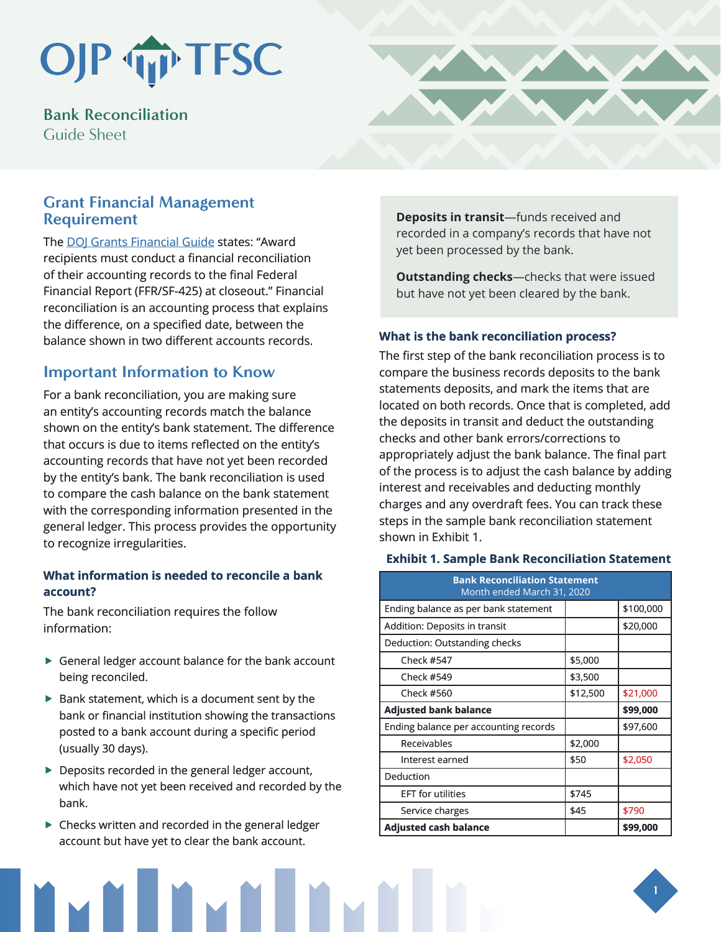## OJP TP TFSC

**Bank Reconciliation**  Guide Sheet

## **Grant Financial Management Requirement**

The [DOJ Grants Financial Guide](https://www.ojp.gov/funding/financialguidedoj/overview) states: "Award recipients must conduct a financial reconciliation of their accounting records to the final Federal Financial Report (FFR/SF-425) at closeout." Financial reconciliation is an accounting process that explains the difference, on a specified date, between the balance shown in two different accounts records.

## **Important Information to Know**

For a bank reconciliation, you are making sure an entity's accounting records match the balance shown on the entity's bank statement. The difference that occurs is due to items reflected on the entity's accounting records that have not yet been recorded by the entity's bank. The bank reconciliation is used to compare the cash balance on the bank statement with the corresponding information presented in the general ledger. This process provides the opportunity to recognize irregularities.

### **What information is needed to reconcile a bank account?**

The bank reconciliation requires the follow information:

- $\blacktriangleright$  General ledger account balance for the bank account being reconciled.
- $\blacktriangleright$  Bank statement, which is a document sent by the bank or financial institution showing the transactions posted to a bank account during a specific period (usually 30 days).
- $\blacktriangleright$  Deposits recorded in the general ledger account, which have not yet been received and recorded by the bank.
- $\blacktriangleright$  Checks written and recorded in the general ledger account but have yet to clear the bank account.



**Outstanding checks**—checks that were issued but have not yet been cleared by the bank.

#### **What is the bank reconciliation process?**

The first step of the bank reconciliation process is to compare the business records deposits to the bank statements deposits, and mark the items that are located on both records. Once that is completed, add the deposits in transit and deduct the outstanding checks and other bank errors/corrections to appropriately adjust the bank balance. The final part of the process is to adjust the cash balance by adding interest and receivables and deducting monthly charges and any overdraft fees. You can track these steps in the sample bank reconciliation statement shown in Exhibit 1.

#### **Exhibit 1. Sample Bank Reconciliation Statement**

| <b>Bank Reconciliation Statement</b><br>Month ended March 31, 2020 |          |           |
|--------------------------------------------------------------------|----------|-----------|
| Ending balance as per bank statement                               |          | \$100,000 |
| Addition: Deposits in transit                                      |          | \$20,000  |
| Deduction: Outstanding checks                                      |          |           |
| <b>Check #547</b>                                                  | \$5,000  |           |
| Check #549                                                         | \$3,500  |           |
| Check #560                                                         | \$12,500 | \$21,000  |
| <b>Adjusted bank balance</b>                                       |          | \$99,000  |
| Ending balance per accounting records                              |          | \$97,600  |
| Receivables                                                        | \$2,000  |           |
| Interest earned                                                    | \$50     | \$2,050   |
| Deduction                                                          |          |           |
| <b>EFT</b> for utilities                                           | \$745    |           |
| Service charges                                                    | \$45     | \$790     |
| <b>Adjusted cash balance</b>                                       |          | \$99,000  |

**1**